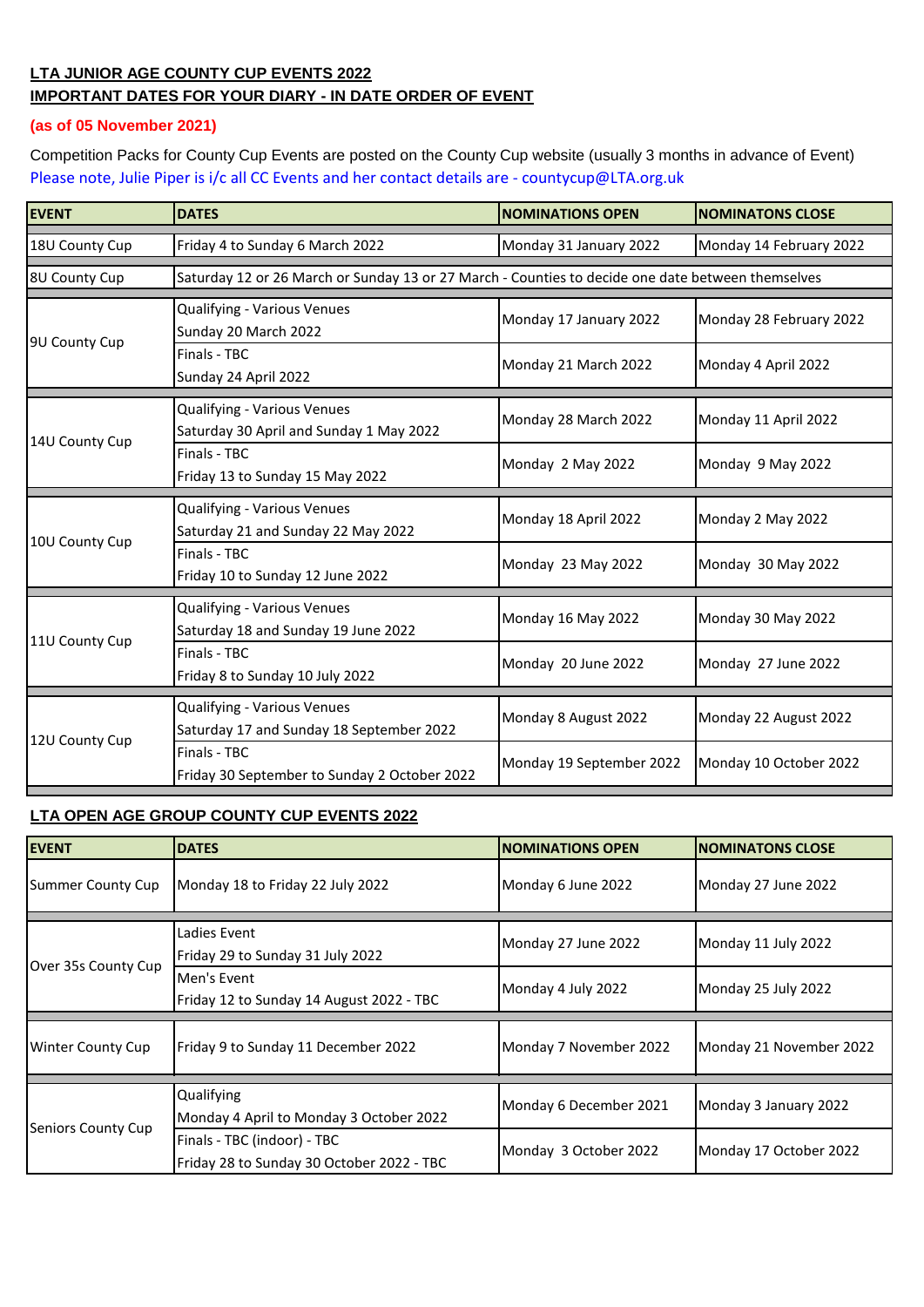## **LTA JUNIOR AGE COUNTY CUP EVENTS 2022 IMPORTANT DATES FOR YOUR DIARY - IN DATE ORDER OF EVENT**

## **(as of 05 November 2021)**

Competition Packs for County Cup Events are posted on the County Cup website (usually 3 months in advance of Event) [Please note, Julie Pip](mailto:countycup@LTA.org.uk)er is i/c all CC Events and her contact details are - countycup@LTA.org.uk

| <b>EVENT</b>   | <b>DATES</b>                                                                                      | <b>NOMINATIONS OPEN</b>  | <b>NOMINATONS CLOSE</b> |  |
|----------------|---------------------------------------------------------------------------------------------------|--------------------------|-------------------------|--|
| 18U County Cup | Friday 4 to Sunday 6 March 2022                                                                   | Monday 31 January 2022   | Monday 14 February 2022 |  |
| 8U County Cup  | Saturday 12 or 26 March or Sunday 13 or 27 March - Counties to decide one date between themselves |                          |                         |  |
| 9U County Cup  | Qualifying - Various Venues<br>Sunday 20 March 2022                                               | Monday 17 January 2022   | Monday 28 February 2022 |  |
|                | Finals - TBC<br>Sunday 24 April 2022                                                              | Monday 21 March 2022     | Monday 4 April 2022     |  |
| 14U County Cup | Qualifying - Various Venues<br>Saturday 30 April and Sunday 1 May 2022                            | Monday 28 March 2022     | Monday 11 April 2022    |  |
|                | Finals - TBC<br>Friday 13 to Sunday 15 May 2022                                                   | Monday 2 May 2022        | Monday 9 May 2022       |  |
| 10U County Cup | Qualifying - Various Venues<br>Saturday 21 and Sunday 22 May 2022                                 | Monday 18 April 2022     | Monday 2 May 2022       |  |
|                | Finals - TBC<br>Friday 10 to Sunday 12 June 2022                                                  | Monday 23 May 2022       | Monday 30 May 2022      |  |
| 11U County Cup | Qualifying - Various Venues<br>Saturday 18 and Sunday 19 June 2022                                | Monday 16 May 2022       | Monday 30 May 2022      |  |
|                | Finals - TBC<br>Friday 8 to Sunday 10 July 2022                                                   | Monday 20 June 2022      | Monday 27 June 2022     |  |
| 12U County Cup | Qualifying - Various Venues<br>Saturday 17 and Sunday 18 September 2022                           | Monday 8 August 2022     | Monday 22 August 2022   |  |
|                | Finals - TBC<br>Friday 30 September to Sunday 2 October 2022                                      | Monday 19 September 2022 | Monday 10 October 2022  |  |

## **LTA OPEN AGE GROUP COUNTY CUP EVENTS 2022**

| <b>EVENT</b>             | <b>DATES</b>                                                             | <b>NOMINATIONS OPEN</b> | <b>NOMINATONS CLOSE</b> |
|--------------------------|--------------------------------------------------------------------------|-------------------------|-------------------------|
| Summer County Cup        | Monday 18 to Friday 22 July 2022                                         | Monday 6 June 2022      | Monday 27 June 2022     |
| Over 35s County Cup      | Ladies Event<br>Friday 29 to Sunday 31 July 2022                         | Monday 27 June 2022     | Monday 11 July 2022     |
|                          | Men's Event<br>Friday 12 to Sunday 14 August 2022 - TBC                  | Monday 4 July 2022      | Monday 25 July 2022     |
| <b>Winter County Cup</b> | Friday 9 to Sunday 11 December 2022                                      | Monday 7 November 2022  | Monday 21 November 2022 |
| Seniors County Cup       | Qualifying<br>Monday 4 April to Monday 3 October 2022                    | Monday 6 December 2021  | Monday 3 January 2022   |
|                          | Finals - TBC (indoor) - TBC<br>Friday 28 to Sunday 30 October 2022 - TBC | Monday 3 October 2022   | Monday 17 October 2022  |